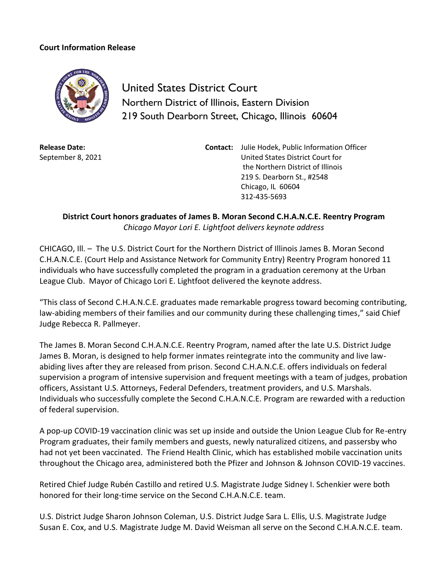## **Court Information Release**



United States District Court Northern District of Illinois, Eastern Division 219 South Dearborn Street, Chicago, Illinois 60604

**Release Date:** September 8, 2021 **Contact:** Julie Hodek, Public Information Officer United States District Court for the Northern District of Illinois 219 S. Dearborn St., #2548 Chicago, IL 60604 312-435-5693

**District Court honors graduates of James B. Moran Second C.H.A.N.C.E. Reentry Program**  *Chicago Mayor Lori E. Lightfoot delivers keynote address*

CHICAGO, Ill. – The U.S. District Court for the Northern District of Illinois James B. Moran Second C.H.A.N.C.E. (Court Help and Assistance Network for Community Entry) Reentry Program honored 11 individuals who have successfully completed the program in a graduation ceremony at the Urban League Club. Mayor of Chicago Lori E. Lightfoot delivered the keynote address.

"This class of Second C.H.A.N.C.E. graduates made remarkable progress toward becoming contributing, law-abiding members of their families and our community during these challenging times," said Chief Judge Rebecca R. Pallmeyer.

The James B. Moran Second C.H.A.N.C.E. Reentry Program, named after the late U.S. District Judge James B. Moran, is designed to help former inmates reintegrate into the community and live lawabiding lives after they are released from prison. Second C.H.A.N.C.E. offers individuals on federal supervision a program of intensive supervision and frequent meetings with a team of judges, probation officers, Assistant U.S. Attorneys, Federal Defenders, treatment providers, and U.S. Marshals. Individuals who successfully complete the Second C.H.A.N.C.E. Program are rewarded with a reduction of federal supervision.

A pop-up COVID-19 vaccination clinic was set up inside and outside the Union League Club for Re-entry Program graduates, their family members and guests, newly naturalized citizens, and passersby who had not yet been vaccinated. The Friend Health Clinic, which has established mobile vaccination units throughout the Chicago area, administered both the Pfizer and Johnson & Johnson COVID-19 vaccines.

Retired Chief Judge Rubén Castillo and retired U.S. Magistrate Judge Sidney I. Schenkier were both honored for their long-time service on the Second C.H.A.N.C.E. team.

U.S. District Judge Sharon Johnson Coleman, U.S. District Judge Sara L. Ellis, U.S. Magistrate Judge Susan E. Cox, and U.S. Magistrate Judge M. David Weisman all serve on the Second C.H.A.N.C.E. team.